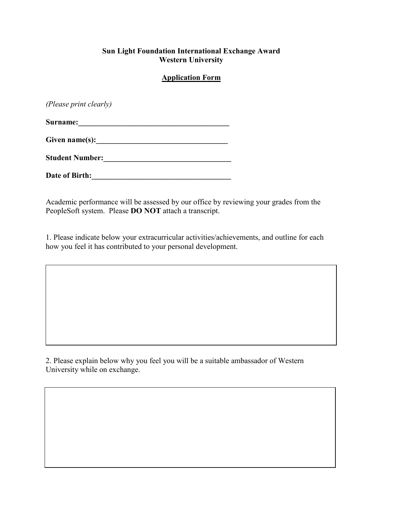#### **Sun Light Foundation International Exchange Award Western University**

## **Application Form**

*(Please print clearly)*

**Surname:\_\_\_\_\_\_\_\_\_\_\_\_\_\_\_\_\_\_\_\_\_\_\_\_\_\_\_\_\_\_\_\_\_\_\_\_\_\_\_** 

 $Given name(s):$ 

**Student Number:\_\_\_\_\_\_\_\_\_\_\_\_\_\_\_\_\_\_\_\_\_\_\_\_\_\_\_\_\_\_\_\_\_** 

Date of Birth:

Academic performance will be assessed by our office by reviewing your grades from the PeopleSoft system. Please **DO NOT** attach a transcript.

1. Please indicate below your extracurricular activities/achievements, and outline for each how you feel it has contributed to your personal development.

2. Please explain below why you feel you will be a suitable ambassador of Western University while on exchange.